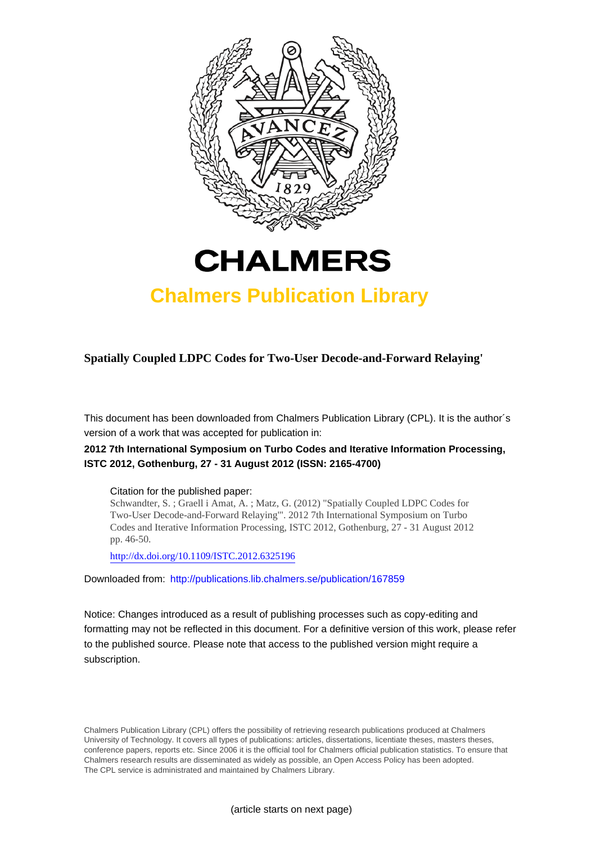



## **Chalmers Publication Library**

**Spatially Coupled LDPC Codes for Two-User Decode-and-Forward Relaying'**

This document has been downloaded from Chalmers Publication Library (CPL). It is the author´s version of a work that was accepted for publication in:

### **2012 7th International Symposium on Turbo Codes and Iterative Information Processing, ISTC 2012, Gothenburg, 27 - 31 August 2012 (ISSN: 2165-4700)**

#### Citation for the published paper:

Schwandter, S. ; Graell i Amat, A. ; Matz, G. (2012) "Spatially Coupled LDPC Codes for Two-User Decode-and-Forward Relaying'". 2012 7th International Symposium on Turbo Codes and Iterative Information Processing, ISTC 2012, Gothenburg, 27 - 31 August 2012 pp. 46-50.

<http://dx.doi.org/10.1109/ISTC.2012.6325196>

Downloaded from: <http://publications.lib.chalmers.se/publication/167859>

Notice: Changes introduced as a result of publishing processes such as copy-editing and formatting may not be reflected in this document. For a definitive version of this work, please refer to the published source. Please note that access to the published version might require a subscription.

Chalmers Publication Library (CPL) offers the possibility of retrieving research publications produced at Chalmers University of Technology. It covers all types of publications: articles, dissertations, licentiate theses, masters theses, conference papers, reports etc. Since 2006 it is the official tool for Chalmers official publication statistics. To ensure that Chalmers research results are disseminated as widely as possible, an Open Access Policy has been adopted. The CPL service is administrated and maintained by Chalmers Library.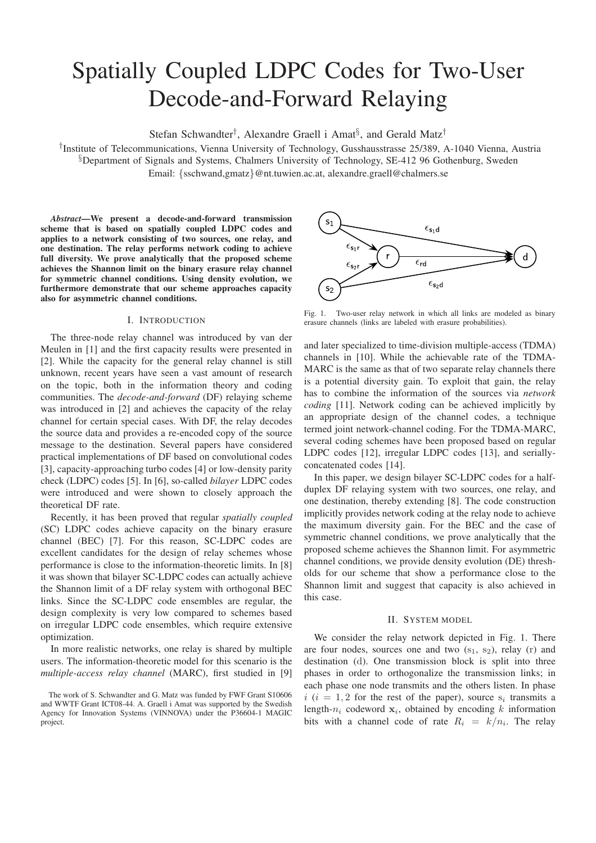# Spatially Coupled LDPC Codes for Two-User Decode-and-Forward Relaying

Stefan Schwandter<sup>†</sup>, Alexandre Graell i Amat<sup>§</sup>, and Gerald Matz<sup>†</sup>

† Institute of Telecommunications, Vienna University of Technology, Gusshausstrasse 25/389, A-1040 Vienna, Austria §Department of Signals and Systems, Chalmers University of Technology, SE-412 96 Gothenburg, Sweden Email: {sschwand,gmatz}@nt.tuwien.ac.at, alexandre.graell@chalmers.se

*Abstract*—We present a decode-and-forward transmission scheme that is based on spatially coupled LDPC codes and applies to a network consisting of two sources, one relay, and one destination. The relay performs network coding to achieve full diversity. We prove analytically that the proposed scheme achieves the Shannon limit on the binary erasure relay channel for symmetric channel conditions. Using density evolution, we furthermore demonstrate that our scheme approaches capacity also for asymmetric channel conditions.

#### I. INTRODUCTION

The three-node relay channel was introduced by van der Meulen in [1] and the first capacity results were presented in [2]. While the capacity for the general relay channel is still unknown, recent years have seen a vast amount of research on the topic, both in the information theory and coding communities. The *decode-and-forward* (DF) relaying scheme was introduced in [2] and achieves the capacity of the relay channel for certain special cases. With DF, the relay decodes the source data and provides a re-encoded copy of the source message to the destination. Several papers have considered practical implementations of DF based on convolutional codes [3], capacity-approaching turbo codes [4] or low-density parity check (LDPC) codes [5]. In [6], so-called *bilayer* LDPC codes were introduced and were shown to closely approach the theoretical DF rate.

Recently, it has been proved that regular *spatially coupled* (SC) LDPC codes achieve capacity on the binary erasure channel (BEC) [7]. For this reason, SC-LDPC codes are excellent candidates for the design of relay schemes whose performance is close to the information-theoretic limits. In [8] it was shown that bilayer SC-LDPC codes can actually achieve the Shannon limit of a DF relay system with orthogonal BEC links. Since the SC-LDPC code ensembles are regular, the design complexity is very low compared to schemes based on irregular LDPC code ensembles, which require extensive optimization.

In more realistic networks, one relay is shared by multiple users. The information-theoretic model for this scenario is the *multiple-access relay channel* (MARC), first studied in [9]



Fig. 1. Two-user relay network in which all links are modeled as binary erasure channels (links are labeled with erasure probabilities).

and later specialized to time-division multiple-access (TDMA) channels in [10]. While the achievable rate of the TDMA-MARC is the same as that of two separate relay channels there is a potential diversity gain. To exploit that gain, the relay has to combine the information of the sources via *network coding* [11]. Network coding can be achieved implicitly by an appropriate design of the channel codes, a technique termed joint network-channel coding. For the TDMA-MARC, several coding schemes have been proposed based on regular LDPC codes [12], irregular LDPC codes [13], and seriallyconcatenated codes [14].

In this paper, we design bilayer SC-LDPC codes for a halfduplex DF relaying system with two sources, one relay, and one destination, thereby extending [8]. The code construction implicitly provides network coding at the relay node to achieve the maximum diversity gain. For the BEC and the case of symmetric channel conditions, we prove analytically that the proposed scheme achieves the Shannon limit. For asymmetric channel conditions, we provide density evolution (DE) thresholds for our scheme that show a performance close to the Shannon limit and suggest that capacity is also achieved in this case.

#### II. SYSTEM MODEL

We consider the relay network depicted in Fig. 1. There are four nodes, sources one and two  $(s_1, s_2)$ , relay (r) and destination (d). One transmission block is split into three phases in order to orthogonalize the transmission links; in each phase one node transmits and the others listen. In phase  $i$  ( $i = 1, 2$  for the rest of the paper), source  $s_i$  transmits a length- $n_i$  codeword  $x_i$ , obtained by encoding k information bits with a channel code of rate  $R_i = k/n_i$ . The relay

The work of S. Schwandter and G. Matz was funded by FWF Grant S10606 and WWTF Grant ICT08-44. A. Graell i Amat was supported by the Swedish Agency for Innovation Systems (VINNOVA) under the P36604-1 MAGIC project.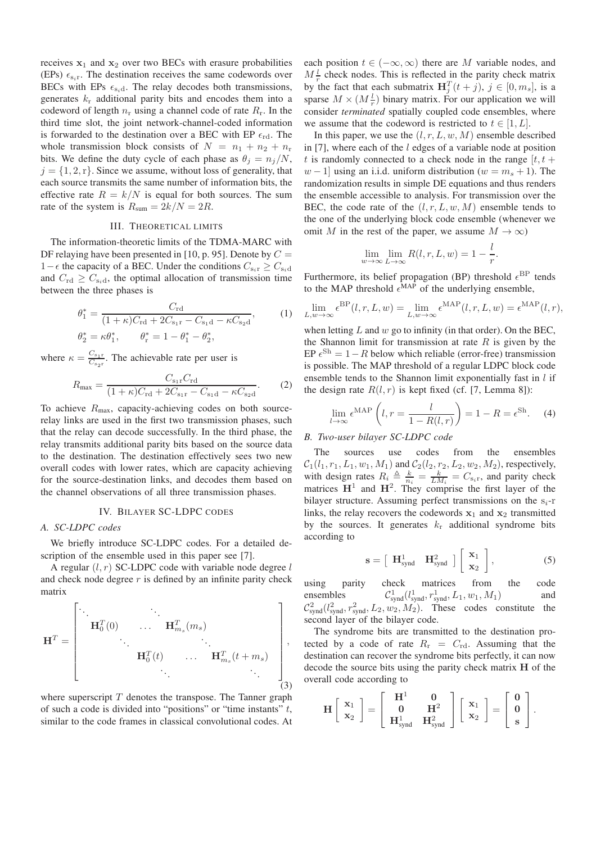receives  $x_1$  and  $x_2$  over two BECs with erasure probabilities (EPs)  $\epsilon_{s,r}$ . The destination receives the same codewords over BECs with EPs  $\epsilon_{s_i d}$ . The relay decodes both transmissions, generates  $k_r$  additional parity bits and encodes them into a codeword of length  $n_r$  using a channel code of rate  $R_r$ . In the third time slot, the joint network-channel-coded information is forwarded to the destination over a BEC with EP  $\epsilon_{\rm rd}$ . The whole transmission block consists of  $N = n_1 + n_2 + n_r$ bits. We define the duty cycle of each phase as  $\theta_i = n_i/N$ ,  $j = \{1, 2, r\}$ . Since we assume, without loss of generality, that each source transmits the same number of information bits, the effective rate  $R = k/N$  is equal for both sources. The sum rate of the system is  $R_{\text{sum}} = 2k/N = 2R$ .

#### III. THEORETICAL LIMITS

The information-theoretic limits of the TDMA-MARC with DF relaying have been presented in [10, p. 95]. Denote by  $C =$  $1-\epsilon$  the capacity of a BEC. Under the conditions  $C_{s_i r} \geq C_{s_i d}$ and  $C_{\text{rd}} \geq C_{\text{s}_i d}$ , the optimal allocation of transmission time between the three phases is

$$
\theta_1^* = \frac{C_{\rm rd}}{(1+\kappa)C_{\rm rd} + 2C_{\rm s_1r} - C_{\rm s_1d} - \kappa C_{\rm s_2d}},
$$
(1)  

$$
\theta_2^* = \kappa \theta_1^*, \qquad \theta_r^* = 1 - \theta_1^* - \theta_2^*,
$$

where  $\kappa = \frac{C_{s_1r}}{C_{s_1r}}$  $\frac{C_{s_1r}}{C_{s_2r}}$ . The achievable rate per user is

$$
R_{\text{max}} = \frac{C_{s_{1}r} C_{\text{rd}}}{(1 + \kappa)C_{\text{rd}} + 2C_{s_{1}r} - C_{s_{1}d} - \kappa C_{s_{2}d}}.
$$
 (2)

To achieve  $R_{\text{max}}$ , capacity-achieving codes on both sourcerelay links are used in the first two transmission phases, such that the relay can decode successfully. In the third phase, the relay transmits additional parity bits based on the source data to the destination. The destination effectively sees two new overall codes with lower rates, which are capacity achieving for the source-destination links, and decodes them based on the channel observations of all three transmission phases.

#### IV. BILAYER SC-LDPC CODES

#### *A. SC-LDPC codes*

We briefly introduce SC-LDPC codes. For a detailed description of the ensemble used in this paper see [7].

A regular  $(l, r)$  SC-LDPC code with variable node degree l and check node degree  $r$  is defined by an infinite parity check matrix

H<sup>T</sup> = . . . . . . HT 0 (0) . . . H<sup>T</sup> ms (ms) . . . . . . HT 0 (t) . . . H<sup>T</sup> ms (t + ms) . . . . . . , (3)

where superscript  $T$  denotes the transpose. The Tanner graph of such a code is divided into "positions" or "time instants"  $t$ , similar to the code frames in classical convolutional codes. At

each position  $t \in (-\infty, \infty)$  there are M variable nodes, and  $M \frac{l}{r}$  check nodes. This is reflected in the parity check matrix by the fact that each submatrix  $\mathbf{H}_{j}^{T}(t+j), j \in [0, m_s]$ , is a sparse  $M \times (M \frac{l}{r})$  binary matrix. For our application we will consider *terminated* spatially coupled code ensembles, where we assume that the codeword is restricted to  $t \in [1, L]$ .

In this paper, we use the  $(l, r, L, w, M)$  ensemble described in  $[7]$ , where each of the l edges of a variable node at position t is randomly connected to a check node in the range  $[t, t +$  $w-1$  using an i.i.d. uniform distribution ( $w = m_s + 1$ ). The randomization results in simple DE equations and thus renders the ensemble accessible to analysis. For transmission over the BEC, the code rate of the  $(l, r, L, w, M)$  ensemble tends to the one of the underlying block code ensemble (whenever we omit M in the rest of the paper, we assume  $M \to \infty$ )

$$
\lim_{w \to \infty} \lim_{L \to \infty} R(l, r, L, w) = 1 - \frac{l}{r}.
$$

Furthermore, its belief propagation (BP) threshold  $\epsilon^{\text{BP}}$  tends to the MAP threshold  $\epsilon^{MAP}$  of the underlying ensemble,

$$
\lim_{L,w \to \infty} \epsilon^{\text{BP}}(l,r,L,w) = \lim_{L,w \to \infty} \epsilon^{\text{MAP}}(l,r,L,w) = \epsilon^{\text{MAP}}(l,r),
$$

when letting  $L$  and  $w$  go to infinity (in that order). On the BEC, the Shannon limit for transmission at rate  $R$  is given by the EP  $\epsilon^{Sh} = 1 - R$  below which reliable (error-free) transmission is possible. The MAP threshold of a regular LDPC block code ensemble tends to the Shannon limit exponentially fast in  $l$  if the design rate  $R(l, r)$  is kept fixed (cf. [7, Lemma 8]):

$$
\lim_{l \to \infty} \epsilon^{\text{MAP}} \left( l, r = \frac{l}{1 - R(l, r)} \right) = 1 - R = \epsilon^{\text{Sh}}.
$$
 (4)

#### *B. Two-user bilayer SC-LDPC code*

The sources use codes from the ensembles  $C_1(l_1, r_1, L_1, w_1, M_1)$  and  $C_2(l_2, r_2, L_2, w_2, M_2)$ , respectively, with design rates  $R_i \triangleq \frac{k}{n_i} = \frac{k}{LM_i} = C_{s_i r}$ , and parity check matrices  $H^1$  and  $H^2$ . They comprise the first layer of the bilayer structure. Assuming perfect transmissions on the  $s_i$ -r links, the relay recovers the codewords  $x_1$  and  $x_2$  transmitted by the sources. It generates  $k_r$  additional syndrome bits according to

$$
\mathbf{s} = \left[ \begin{array}{cc} \mathbf{H}_{\text{synd}}^1 & \mathbf{H}_{\text{synd}}^2 \end{array} \right] \left[ \begin{array}{c} \mathbf{x}_1 \\ \mathbf{x}_2 \end{array} \right], \tag{5}
$$

using parity check matrices from the code ensembles  $\frac{1}{\text{synd}}(l_{\text{synd}}^1, r_{\text{synd}}^1, L_1, w_1, M_1)$  and  $C_{\text{synd}}^2(l_{\text{synd}}^2, r_{\text{synd}}^2, L_2, w_2, M_2)$ . These codes constitute the second layer of the bilayer code.

The syndrome bits are transmitted to the destination protected by a code of rate  $R_r = C_{\rm rd}$ . Assuming that the destination can recover the syndrome bits perfectly, it can now decode the source bits using the parity check matrix  $H$  of the overall code according to

$$
\mathbf{H}\left[\begin{array}{c} \mathbf{x}_1 \\ \mathbf{x}_2 \end{array}\right] = \left[\begin{array}{cc} \mathbf{H}^1 & \mathbf{0} \\ \mathbf{0} & \mathbf{H}^2 \\ \mathbf{H}_{\text{synd}}^1 & \mathbf{H}_{\text{synd}}^2 \end{array}\right] \left[\begin{array}{c} \mathbf{x}_1 \\ \mathbf{x}_2 \end{array}\right] = \left[\begin{array}{c} \mathbf{0} \\ \mathbf{0} \\ \mathbf{s} \end{array}\right].
$$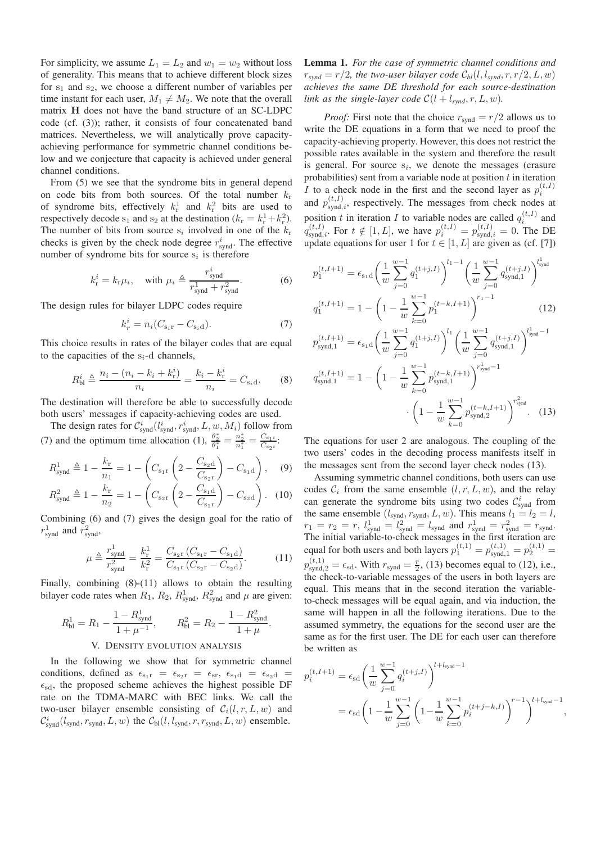For simplicity, we assume  $L_1 = L_2$  and  $w_1 = w_2$  without loss of generality. This means that to achieve different block sizes for  $s_1$  and  $s_2$ , we choose a different number of variables per time instant for each user,  $M_1 \neq M_2$ . We note that the overall matrix H does not have the band structure of an SC-LDPC code (cf. (3)); rather, it consists of four concatenated band matrices. Nevertheless, we will analytically prove capacityachieving performance for symmetric channel conditions below and we conjecture that capacity is achieved under general channel conditions.

From (5) we see that the syndrome bits in general depend on code bits from both sources. Of the total number  $k_r$ of syndrome bits, effectively  $k_{\rm r}^1$  and  $k_{\rm r}^2$  bits are used to respectively decode  $s_1$  and  $s_2$  at the destination  $(k_r = k_r^1 + k_r^2)$ . The number of bits from source  $s_i$  involved in one of the  $k_r$ checks is given by the check node degree  $r_{\text{synd}}^i$ . The effective number of syndrome bits for source  $s_i$  is therefore

$$
k_{\rm r}^{i} = k_{\rm r} \mu_{i}, \quad \text{with } \mu_{i} \triangleq \frac{r_{\rm synd}^{i}}{r_{\rm synd}^{1} + r_{\rm synd}^{2}}.\tag{6}
$$

The design rules for bilayer LDPC codes require

$$
k_r^i = n_i (C_{\mathbf{s}_i \mathbf{r}} - C_{\mathbf{s}_i \mathbf{d}}). \tag{7}
$$

This choice results in rates of the bilayer codes that are equal to the capacities of the  $s_i$ -d channels,

$$
R_{\rm bl}^{i} \triangleq \frac{n_i - (n_i - k_i + k_{\rm r}^{i})}{n_i} = \frac{k_i - k_{\rm r}^{i}}{n_i} = C_{\rm s_i d}.
$$
 (8)

The destination will therefore be able to successfully decode both users' messages if capacity-achieving codes are used.

The design rates for  $\mathcal{C}^i_{\text{synd}}(l_{\text{synd}}^i, r_{\text{synd}}^i, L, w, M_i)$  follow from (7) and the optimum time allocation (1),  $\frac{\theta_2^*}{\theta_1^*} = \frac{n_2^*}{n_1^*} = \frac{C_{s_1r}}{C_{s_2r}}$  $\frac{\mathrm{C_{s_1r}}}{\mathrm{C_{s_2r}}}.$ 

$$
R_{\text{synd}}^1 \triangleq 1 - \frac{k_{\rm r}}{n_1} = 1 - \left( C_{\rm s_1r} \left( 2 - \frac{C_{\rm s_2d}}{C_{\rm s_2r}} \right) - C_{\rm s_1d} \right), \quad (9)
$$

$$
R_{\text{synd}}^2 \triangleq 1 - \frac{k_{\text{r}}}{n_2} = 1 - \left( C_{\text{s}_2 \text{r}} \left( 2 - \frac{C_{\text{s}_1 \text{d}}}{C_{\text{s}_1 \text{r}}} \right) - C_{\text{s}_2 \text{d}} \right). \tag{10}
$$

Combining (6) and (7) gives the design goal for the ratio of  $r_{\text{synd}}^1$  and  $r_{\text{synd}}^2$ ,

$$
\mu \triangleq \frac{r_{\text{synd}}^1}{r_{\text{synd}}^2} = \frac{k_{\text{r}}^1}{k_{\text{r}}^2} = \frac{C_{\text{s}_2\text{r}} \left( C_{\text{s}_1\text{r}} - C_{\text{s}_1\text{d}} \right)}{C_{\text{s}_1\text{r}} \left( C_{\text{s}_2\text{r}} - C_{\text{s}_2\text{d}} \right)}.
$$
(11)

Finally, combining (8)-(11) allows to obtain the resulting bilayer code rates when  $R_1$ ,  $R_2$ ,  $R_{\text{synd}}^1$ ,  $R_{\text{synd}}^2$  and  $\mu$  are given:

$$
R_{\rm bl}^{1} = R_{1} - \frac{1 - R_{\rm synd}^{1}}{1 + \mu^{-1}}, \qquad R_{\rm bl}^{2} = R_{2} - \frac{1 - R_{\rm synd}^{2}}{1 + \mu}.
$$
  
V. Density Evolution ANALYSIS

In the following we show that for symmetric channel conditions, defined as  $\epsilon_{s_1r} = \epsilon_{s_2r} = \epsilon_{sr}$ ,  $\epsilon_{s_1d} = \epsilon_{s_2d}$  $\epsilon_{sd}$ , the proposed scheme achieves the highest possible DF rate on the TDMA-MARC with BEC links. We call the two-user bilayer ensemble consisting of  $C_i(l, r, L, w)$  and  $\mathcal{C}^i_{\text{synd}}(l_{\text{synd}}, r_{\text{synd}}, L, w)$  the  $\mathcal{C}_{\text{bl}}(l, l_{\text{synd}}, r, r_{\text{synd}}, L, w)$  ensemble.

Lemma 1. *For the case of symmetric channel conditions and*  $r_{swnd} = r/2$ , the two-user bilayer code  $C_{bl}(l, l_{swnd}, r, r/2, L, w)$ *achieves the same DE threshold for each source-destination link as the single-layer code*  $C(l + l_{svnd}, r, L, w)$ .

*Proof:* First note that the choice  $r_{\text{synd}} = r/2$  allows us to write the DE equations in a form that we need to proof the capacity-achieving property. However, this does not restrict the possible rates available in the system and therefore the result is general. For source  $s_i$ , we denote the messages (erasure probabilities) sent from a variable node at position  $t$  in iteration I to a check node in the first and the second layer as  $p_i^{(t,I)}$ and  $p_{\text{synd},i}^{(t,I)}$ , respectively. The messages from check nodes at position t in iteration I to variable nodes are called  $q_i^{(t,I)}$  and  $q_{\text{synd},i}^{(t,I)}$ . For  $t \notin [1, L]$ , we have  $p_i^{(t,I)} = p_{\text{synd},i}^{(t,I)} = 0$ . The DE update equations for user 1 for  $t \in [1, L]$  are given as (cf. [7])

$$
p_{1}^{(t,I+1)} = \epsilon_{s_{1}d} \left(\frac{1}{w} \sum_{j=0}^{w-1} q_{1}^{(t+j,I)}\right)^{l_{1}-1} \left(\frac{1}{w} \sum_{j=0}^{w-1} q_{\text{synd},1}^{(t+j,I)}\right)^{l_{\text{synd}}^{1}}
$$

$$
q_{1}^{(t,I+1)} = 1 - \left(1 - \frac{1}{w} \sum_{k=0}^{w-1} p_{1}^{(t-k,I+1)}\right)^{r_{1}-1} \qquad (12)
$$

$$
p_{\text{synd},1}^{(t,I+1)} = \epsilon_{s_{1}d} \left(\frac{1}{w} \sum_{j=0}^{w-1} q_{1}^{(t+j,I)}\right)^{l_{1}} \left(\frac{1}{w} \sum_{j=0}^{w-1} q_{\text{synd},1}^{(t+j,I)}\right)^{l_{\text{synd}}^{1}-1}
$$

$$
q_{\text{synd},1}^{(t,I+1)} = 1 - \left(1 - \frac{1}{w} \sum_{k=0}^{w-1} p_{\text{synd},1}^{(t-k,I+1)}\right)^{r_{\text{synd}}^{1}-1} \cdot \left(1 - \frac{1}{w} \sum_{j=0}^{w-1} p_{\text{synd},2}^{(t-k,I+1)}\right)^{r_{\text{synd}}^{2}}
$$
(13)

The equations for user 2 are analogous. The coupling of the two users' codes in the decoding process manifests itself in the messages sent from the second layer check nodes (13).

 $k=0$ 

 $p_{\text{swnd }2}^{(t-k,I+1)}$ synd,2

 $\cdot\left(1-\frac{1}{\cdot}\right)$ w

Assuming symmetric channel conditions, both users can use codes  $C_i$  from the same ensemble  $(l, r, L, w)$ , and the relay can generate the syndrome bits using two codes  $\mathcal{C}_{\text{synd}}^i$  from the same ensemble  $(l_{\text{synd}}, r_{\text{synd}}, L, w)$ . This means  $l_1 = l_2 = l$ ,  $r_1 = r_2 = r$ ,  $l_{\text{synd}}^1 = l_{\text{synd}}^2 = l_{\text{synd}}$  and  $r_{\text{synd}}^1 = r_{\text{synd}}^2 = r_{\text{synd}}$ . The initial variable-to-check messages in the first iteration are equal for both users and both layers  $p_1^{(t,1)} = p_{\text{synd},1}^{(t,1)} = p_2^{(t,1)} =$  $p_{\text{synd},2}^{(t,1)} = \epsilon_{\text{sd}}$ . With  $r_{\text{synd}} = \frac{r}{2}$ , (13) becomes equal to (12), i.e., the check-to-variable messages of the users in both layers are equal. This means that in the second iteration the variableto-check messages will be equal again, and via induction, the same will happen in all the following iterations. Due to the assumed symmetry, the equations for the second user are the same as for the first user. The DE for each user can therefore be written as

$$
p_i^{(t,I+1)} = \epsilon_{sd} \left( \frac{1}{w} \sum_{j=0}^{w-1} q_i^{(t+j,I)} \right)^{l+l_{\text{synd}}-1}
$$
  
=  $\epsilon_{sd} \left( 1 - \frac{1}{w} \sum_{j=0}^{w-1} \left( 1 - \frac{1}{w} \sum_{k=0}^{w-1} p_i^{(t+j-k,I)} \right)^{r-1} \right)^{l+l_{\text{synd}}-1},$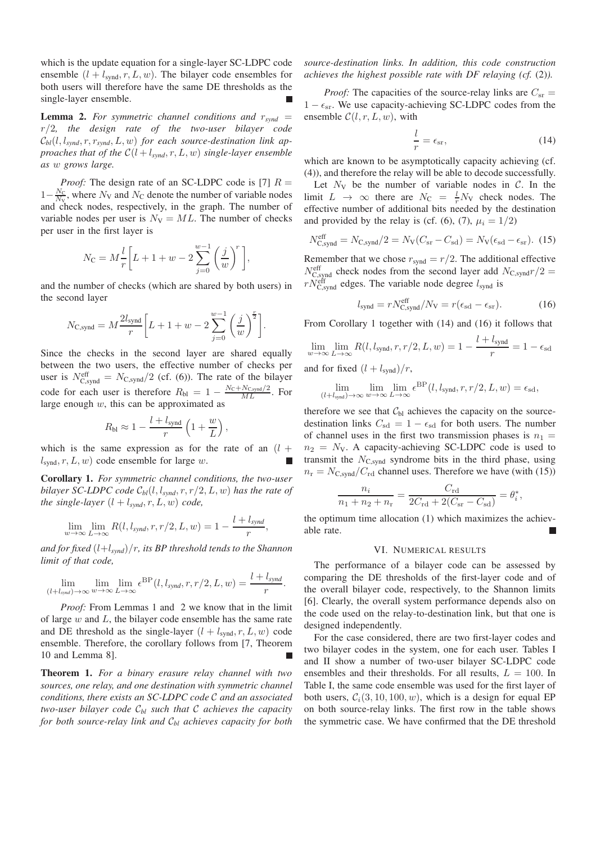which is the update equation for a single-layer SC-LDPC code ensemble  $(l + l_{svd}, r, L, w)$ . The bilayer code ensembles for both users will therefore have the same DE thresholds as the single-layer ensemble.

**Lemma 2.** For symmetric channel conditions and  $r_{synd}$  = r/2*, the design rate of the two-user bilayer code*  $\mathcal{C}_{bl}(l, l_{synd}, r, r_{synd}, L, w)$  for each source-destination link ap*proaches that of the*  $C(l + l_{s ynd}, r, L, w)$  *single-layer ensemble as* w *grows large.*

*Proof:* The design rate of an SC-LDPC code is [7]  $R =$  $1-\frac{N_C}{N_V}$ , where  $N_V$  and  $N_C$  denote the number of variable nodes and check nodes, respectively, in the graph. The number of variable nodes per user is  $N_{\rm V} = ML$ . The number of checks per user in the first layer is

$$
N_{\text{C}} = M \frac{l}{r} \bigg[ L + 1 + w - 2 \sum_{j=0}^{w-1} \bigg(\frac{j}{w}\bigg)^r \bigg],
$$

and the number of checks (which are shared by both users) in the second layer

$$
N_{\text{C,synd}} = M \frac{2l_{\text{synd}}}{r} \bigg[ L + 1 + w - 2 \sum_{j=0}^{w-1} \left( \frac{j}{w} \right)^{\frac{r}{2}} \bigg].
$$

Since the checks in the second layer are shared equally between the two users, the effective number of checks per user is  $N_{\text{C,synd}}^{\text{eff}} = N_{\text{C,synd}}/2$  (cf. (6)). The rate of the bilayer code for each user is therefore  $R_{\text{bl}} = 1 - \frac{N_{\text{C}} + N_{\text{C,synd}}/2}{ML}$ . For large enough  $w$ , this can be approximated as

$$
R_{\rm bl} \approx 1 - \frac{l + l_{\rm synd}}{r} \left( 1 + \frac{w}{L} \right),
$$

which is the same expression as for the rate of an  $(l +$  $l<sub>synd</sub>, r, L, w)$  code ensemble for large w.

Corollary 1. *For symmetric channel conditions, the two-user bilayer SC-LDPC code*  $C_{bl}(l, l_{svnd}, r, r/2, L, w)$  *has the rate of the single-layer*  $(l + l_{synd}, r, L, w)$  *code,* 

$$
\lim_{w \to \infty} \lim_{L \to \infty} R(l, l_{synd}, r, r/2, L, w) = 1 - \frac{l + l_{synd}}{r},
$$

and for fixed  $(l+l_{synd})/r$ *, its BP threshold tends to the Shannon limit of that code,*

$$
\lim_{(l+l_{syn}) \to \infty} \lim_{w \to \infty} \lim_{L \to \infty} \epsilon^{\text{BP}}(l, l_{synd}, r, r/2, L, w) = \frac{l+l_{synd}}{r}.
$$

*Proof:* From Lemmas 1 and 2 we know that in the limit of large  $w$  and  $L$ , the bilayer code ensemble has the same rate and DE threshold as the single-layer  $(l + l<sub>svnd</sub>, r, L, w)$  code ensemble. Therefore, the corollary follows from [7, Theorem 10 and Lemma 8].

Theorem 1. *For a binary erasure relay channel with two sources, one relay, and one destination with symmetric channel conditions, there exists an SC-LDPC code* C *and an associated two-user bilayer code* C*bl such that* C *achieves the capacity for both source-relay link and* C*bl achieves capacity for both*

*source-destination links. In addition, this code construction achieves the highest possible rate with DF relaying (cf.* (2)*).*

*Proof:* The capacities of the source-relay links are  $C_{\rm sr}$  =  $1 - \epsilon_{sr}$ . We use capacity-achieving SC-LDPC codes from the ensemble  $C(l, r, L, w)$ , with

$$
\frac{l}{r} = \epsilon_{\rm sr},\tag{14}
$$

which are known to be asymptotically capacity achieving (cf. (4)), and therefore the relay will be able to decode successfully.

Let  $N_V$  be the number of variable nodes in  $C$ . In the limit  $L \rightarrow \infty$  there are  $N_{\rm C} = \frac{l}{r} N_{\rm V}$  check nodes. The effective number of additional bits needed by the destination and provided by the relay is (cf. (6), (7),  $\mu_i = 1/2$ )

$$
N_{\text{C,synd}}^{\text{eff}} = N_{\text{C,synd}}/2 = N_{\text{V}}(C_{\text{sr}} - C_{\text{sd}}) = N_{\text{V}}(\epsilon_{\text{sd}} - \epsilon_{\text{sr}}).
$$
 (15)

Remember that we chose  $r_{\text{synd}} = r/2$ . The additional effective  $N_{\text{C,synd}}^{\text{eff}}$  check nodes from the second layer add  $N_{\text{C,synd}}r/2 =$  $rN_{\text{C,synd}}^{\text{eff}}$  edges. The variable node degree  $l_{\text{synd}}$  is

$$
l_{\text{synd}} = rN_{\text{C,synd}}^{\text{eff}} / N_{\text{V}} = r(\epsilon_{\text{sd}} - \epsilon_{\text{sr}}). \tag{16}
$$

From Corollary 1 together with (14) and (16) it follows that

$$
\lim_{w \to \infty} \lim_{L \to \infty} R(l, l_{\text{synd}}, r, r/2, L, w) = 1 - \frac{l + l_{\text{synd}}}{r} = 1 - \epsilon_{\text{sd}}
$$
\nand for fixed  $(l + l_{\text{synd}})/r$ ,

$$
\lim_{(l+l_{\text{synd}})\to\infty}\lim_{w\to\infty}\lim_{L\to\infty}\epsilon^{\text{BP}}(l,l_{\text{synd}},r,r/2,L,w)=\epsilon_{\text{sd}},
$$

therefore we see that  $C<sub>bl</sub>$  achieves the capacity on the sourcedestination links  $C_{sd} = 1 - \epsilon_{sd}$  for both users. The number of channel uses in the first two transmission phases is  $n_1 =$  $n_2$  = N<sub>V</sub>. A capacity-achieving SC-LDPC code is used to transmit the  $N_{\text{C,synd}}$  syndrome bits in the third phase, using  $n_r = N_{\text{C,synd}}/C_{\text{rd}}$  channel uses. Therefore we have (with (15))

$$
\frac{n_i}{n_1 + n_2 + n_{\rm r}} = \frac{C_{\rm rd}}{2C_{\rm rd} + 2(C_{\rm sr} - C_{\rm sd})} = \theta_i^*,
$$

the optimum time allocation (1) which maximizes the achievable rate.

#### VI. NUMERICAL RESULTS

The performance of a bilayer code can be assessed by comparing the DE thresholds of the first-layer code and of the overall bilayer code, respectively, to the Shannon limits [6]. Clearly, the overall system performance depends also on the code used on the relay-to-destination link, but that one is designed independently.

For the case considered, there are two first-layer codes and two bilayer codes in the system, one for each user. Tables I and II show a number of two-user bilayer SC-LDPC code ensembles and their thresholds. For all results,  $L = 100$ . In Table I, the same code ensemble was used for the first layer of both users,  $C_i(3, 10, 100, w)$ , which is a design for equal EP on both source-relay links. The first row in the table shows the symmetric case. We have confirmed that the DE threshold